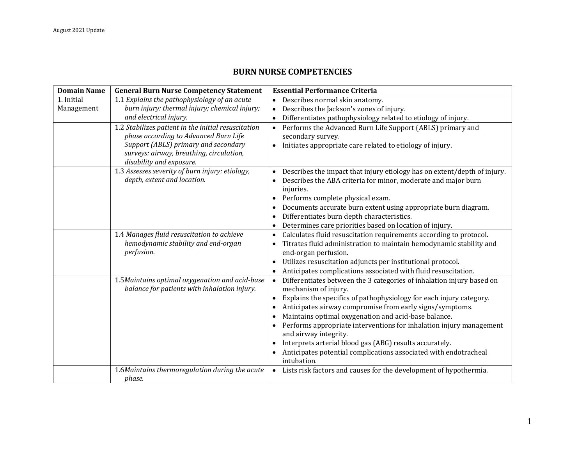## **BURN NURSE COMPETENCIES**

| <b>Domain Name</b> | <b>General Burn Nurse Competency Statement</b>                                                  | <b>Essential Performance Criteria</b>                                                           |
|--------------------|-------------------------------------------------------------------------------------------------|-------------------------------------------------------------------------------------------------|
| 1. Initial         | 1.1 Explains the pathophysiology of an acute                                                    | • Describes normal skin anatomy.                                                                |
| Management         | burn injury: thermal injury; chemical injury;                                                   | Describes the Jackson's zones of injury.                                                        |
|                    | and electrical injury.                                                                          | Differentiates pathophysiology related to etiology of injury.                                   |
|                    | 1.2 Stabilizes patient in the initial resuscitation                                             | Performs the Advanced Burn Life Support (ABLS) primary and                                      |
|                    | phase according to Advanced Burn Life                                                           | secondary survey.                                                                               |
|                    | Support (ABLS) primary and secondary                                                            | Initiates appropriate care related to etiology of injury.                                       |
|                    | surveys: airway, breathing, circulation,                                                        |                                                                                                 |
|                    | disability and exposure.                                                                        |                                                                                                 |
|                    | 1.3 Assesses severity of burn injury: etiology,                                                 | Describes the impact that injury etiology has on extent/depth of injury.                        |
|                    | depth, extent and location.                                                                     | Describes the ABA criteria for minor, moderate and major burn<br>injuries.                      |
|                    |                                                                                                 | Performs complete physical exam.                                                                |
|                    |                                                                                                 | Documents accurate burn extent using appropriate burn diagram.                                  |
|                    |                                                                                                 | Differentiates burn depth characteristics.                                                      |
|                    |                                                                                                 | Determines care priorities based on location of injury.                                         |
|                    | 1.4 Manages fluid resuscitation to achieve                                                      | Calculates fluid resuscitation requirements according to protocol.                              |
|                    | hemodynamic stability and end-organ                                                             | Titrates fluid administration to maintain hemodynamic stability and                             |
|                    | perfusion.                                                                                      | end-organ perfusion.                                                                            |
|                    |                                                                                                 | Utilizes resuscitation adjuncts per institutional protocol.                                     |
|                    |                                                                                                 | Anticipates complications associated with fluid resuscitation.                                  |
|                    | 1.5 Maintains optimal oxygenation and acid-base<br>balance for patients with inhalation injury. | • Differentiates between the 3 categories of inhalation injury based on<br>mechanism of injury. |
|                    |                                                                                                 | Explains the specifics of pathophysiology for each injury category.                             |
|                    |                                                                                                 | Anticipates airway compromise from early signs/symptoms.                                        |
|                    |                                                                                                 | Maintains optimal oxygenation and acid-base balance.                                            |
|                    |                                                                                                 | Performs appropriate interventions for inhalation injury management                             |
|                    |                                                                                                 | and airway integrity.                                                                           |
|                    |                                                                                                 | Interprets arterial blood gas (ABG) results accurately.                                         |
|                    |                                                                                                 | Anticipates potential complications associated with endotracheal                                |
|                    |                                                                                                 | intubation.                                                                                     |
|                    | 1.6Maintains thermoregulation during the acute                                                  | • Lists risk factors and causes for the development of hypothermia.                             |
|                    | phase.                                                                                          |                                                                                                 |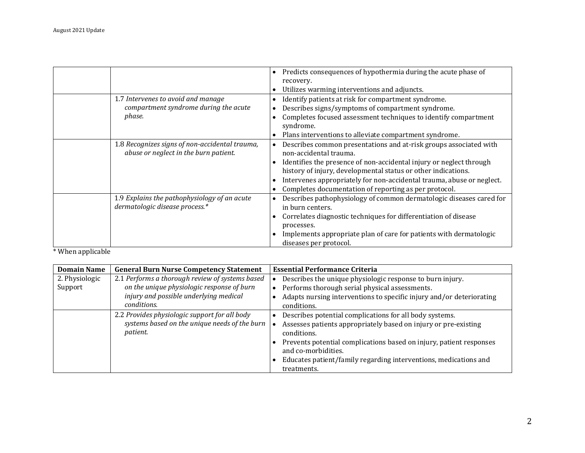|                                                                                         | Predicts consequences of hypothermia during the acute phase of<br>recovery.<br>Utilizes warming interventions and adjuncts.                                                                                                                                                                                                                                           |
|-----------------------------------------------------------------------------------------|-----------------------------------------------------------------------------------------------------------------------------------------------------------------------------------------------------------------------------------------------------------------------------------------------------------------------------------------------------------------------|
| 1.7 Intervenes to avoid and manage<br>compartment syndrome during the acute<br>phase.   | Identify patients at risk for compartment syndrome.<br>Describes signs/symptoms of compartment syndrome.<br>Completes focused assessment techniques to identify compartment<br>syndrome.<br>Plans interventions to alleviate compartment syndrome.                                                                                                                    |
| 1.8 Recognizes signs of non-accidental trauma,<br>abuse or neglect in the burn patient. | Describes common presentations and at-risk groups associated with<br>non-accidental trauma.<br>Identifies the presence of non-accidental injury or neglect through<br>history of injury, developmental status or other indications.<br>Intervenes appropriately for non-accidental trauma, abuse or neglect.<br>Completes documentation of reporting as per protocol. |
| 1.9 Explains the pathophysiology of an acute<br>dermatologic disease process.*          | Describes pathophysiology of common dermatologic diseases cared for<br>in burn centers.<br>Correlates diagnostic techniques for differentiation of disease<br>processes.<br>Implements appropriate plan of care for patients with dermatologic<br>diseases per protocol.                                                                                              |

\* When applicable

| <b>Domain Name</b> | <b>General Burn Nurse Competency Statement</b>        | <b>Essential Performance Criteria</b>                                                      |
|--------------------|-------------------------------------------------------|--------------------------------------------------------------------------------------------|
| 2. Physiologic     | 2.1 Performs a thorough review of systems based       | Describes the unique physiologic response to burn injury.                                  |
| Support            | on the unique physiologic response of burn            | Performs thorough serial physical assessments.                                             |
|                    | injury and possible underlying medical<br>conditions. | Adapts nursing interventions to specific injury and/or deteriorating<br>conditions.        |
|                    | 2.2 Provides physiologic support for all body         | Describes potential complications for all body systems.                                    |
| <i>patient.</i>    | systems based on the unique needs of the burn         | Assesses patients appropriately based on injury or pre-existing                            |
|                    | conditions.                                           |                                                                                            |
|                    |                                                       | Prevents potential complications based on injury, patient responses<br>and co-morbidities. |
|                    |                                                       | Educates patient/family regarding interventions, medications and                           |
|                    |                                                       | treatments.                                                                                |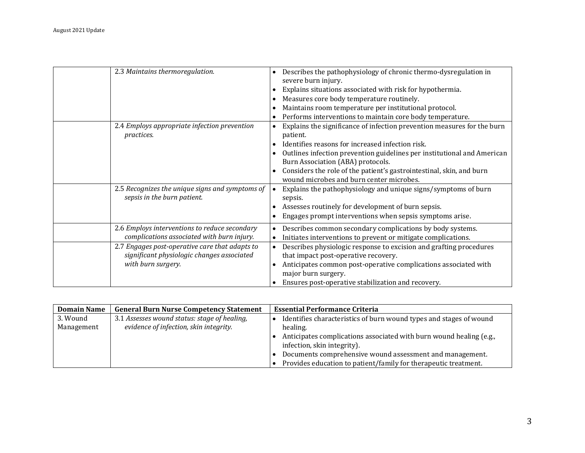| 2.3 Maintains thermoregulation.                                                                                    | Describes the pathophysiology of chronic thermo-dysregulation in<br>severe burn injury.<br>Explains situations associated with risk for hypothermia.<br>Measures core body temperature routinely.<br>Maintains room temperature per institutional protocol.<br>Performs interventions to maintain core body temperature.                                                                 |
|--------------------------------------------------------------------------------------------------------------------|------------------------------------------------------------------------------------------------------------------------------------------------------------------------------------------------------------------------------------------------------------------------------------------------------------------------------------------------------------------------------------------|
| 2.4 Employs appropriate infection prevention<br>practices.                                                         | Explains the significance of infection prevention measures for the burn<br>$\bullet$<br>patient.<br>Identifies reasons for increased infection risk.<br>Outlines infection prevention guidelines per institutional and American<br>Burn Association (ABA) protocols.<br>Considers the role of the patient's gastrointestinal, skin, and burn<br>wound microbes and burn center microbes. |
| 2.5 Recognizes the unique signs and symptoms of<br>sepsis in the burn patient.                                     | Explains the pathophysiology and unique signs/symptoms of burn<br>sepsis.<br>Assesses routinely for development of burn sepsis.<br>Engages prompt interventions when sepsis symptoms arise.                                                                                                                                                                                              |
| 2.6 Employs interventions to reduce secondary<br>complications associated with burn injury.                        | Describes common secondary complications by body systems.<br>$\bullet$<br>Initiates interventions to prevent or mitigate complications.<br>$\bullet$                                                                                                                                                                                                                                     |
| 2.7 Engages post-operative care that adapts to<br>significant physiologic changes associated<br>with burn surgery. | Describes physiologic response to excision and grafting procedures<br>$\bullet$<br>that impact post-operative recovery.<br>Anticipates common post-operative complications associated with<br>major burn surgery.<br>Ensures post-operative stabilization and recovery.                                                                                                                  |

| <b>Domain Name</b> | <b>General Burn Nurse Competency Statement</b> | <b>Essential Performance Criteria</b>                               |
|--------------------|------------------------------------------------|---------------------------------------------------------------------|
| 3. Wound           | 3.1 Assesses wound status: stage of healing,   | Identifies characteristics of burn wound types and stages of wound  |
| Management         | evidence of infection, skin integrity.         | healing.                                                            |
|                    |                                                | Anticipates complications associated with burn wound healing (e.g., |
|                    |                                                | infection, skin integrity).                                         |
|                    |                                                | Documents comprehensive wound assessment and management.            |
|                    |                                                | Provides education to patient/family for therapeutic treatment.     |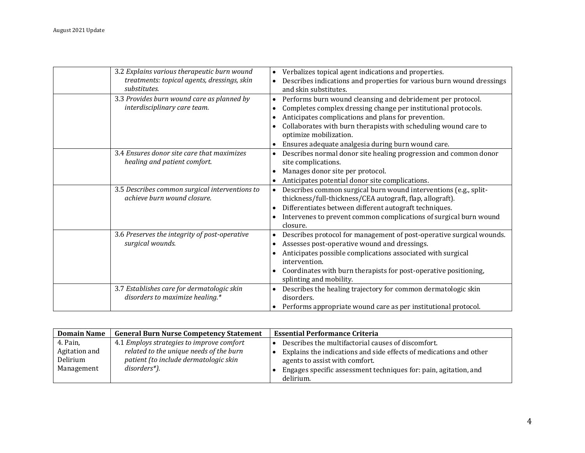| 3.2 Explains various therapeutic burn wound<br>treatments: topical agents, dressings, skin<br>substitutes. | Verbalizes topical agent indications and properties.<br>$\bullet$<br>Describes indications and properties for various burn wound dressings<br>$\bullet$<br>and skin substitutes.                                                                                                                                                                     |
|------------------------------------------------------------------------------------------------------------|------------------------------------------------------------------------------------------------------------------------------------------------------------------------------------------------------------------------------------------------------------------------------------------------------------------------------------------------------|
| 3.3 Provides burn wound care as planned by<br>interdisciplinary care team.                                 | Performs burn wound cleansing and debridement per protocol.<br>$\bullet$<br>Completes complex dressing change per institutional protocols.<br>Anticipates complications and plans for prevention.<br>Collaborates with burn therapists with scheduling wound care to<br>optimize mobilization.<br>Ensures adequate analgesia during burn wound care. |
| 3.4 Ensures donor site care that maximizes<br>healing and patient comfort.                                 | Describes normal donor site healing progression and common donor<br>site complications.<br>Manages donor site per protocol.<br>Anticipates potential donor site complications.                                                                                                                                                                       |
| 3.5 Describes common surgical interventions to<br>achieve burn wound closure.                              | Describes common surgical burn wound interventions (e.g., split-<br>$\bullet$<br>thickness/full-thickness/CEA autograft, flap, allograft).<br>Differentiates between different autograft techniques.<br>Intervenes to prevent common complications of surgical burn wound<br>closure.                                                                |
| 3.6 Preserves the integrity of post-operative<br>surgical wounds.                                          | Describes protocol for management of post-operative surgical wounds.<br>Assesses post-operative wound and dressings.<br>$\bullet$<br>Anticipates possible complications associated with surgical<br>intervention.<br>Coordinates with burn therapists for post-operative positioning,<br>splinting and mobility.                                     |
| 3.7 Establishes care for dermatologic skin<br>disorders to maximize healing.*                              | Describes the healing trajectory for common dermatologic skin<br>disorders.<br>Performs appropriate wound care as per institutional protocol.                                                                                                                                                                                                        |

| <b>Domain Name</b>                                  | <b>General Burn Nurse Competency Statement</b>                                                                                                | <b>Essential Performance Criteria</b>                                                                                                                                                                                          |
|-----------------------------------------------------|-----------------------------------------------------------------------------------------------------------------------------------------------|--------------------------------------------------------------------------------------------------------------------------------------------------------------------------------------------------------------------------------|
| 4. Pain,<br>Agitation and<br>Delirium<br>Management | 4.1 Employs strategies to improve comfort<br>related to the unique needs of the burn<br>patient (to include dermatologic skin<br>disorders*). | Describes the multifactorial causes of discomfort.<br>Explains the indications and side effects of medications and other<br>agents to assist with comfort.<br>Engages specific assessment techniques for: pain, agitation, and |
|                                                     |                                                                                                                                               | delirium.                                                                                                                                                                                                                      |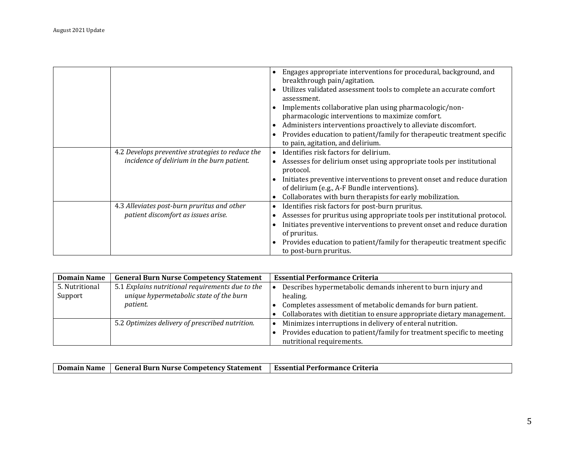|                                                                                                | Engages appropriate interventions for procedural, background, and<br>breakthrough pain/agitation.<br>Utilizes validated assessment tools to complete an accurate comfort<br>assessment.<br>Implements collaborative plan using pharmacologic/non-<br>pharmacologic interventions to maximize comfort.<br>Administers interventions proactively to alleviate discomfort.<br>Provides education to patient/family for therapeutic treatment specific<br>to pain, agitation, and delirium. |
|------------------------------------------------------------------------------------------------|-----------------------------------------------------------------------------------------------------------------------------------------------------------------------------------------------------------------------------------------------------------------------------------------------------------------------------------------------------------------------------------------------------------------------------------------------------------------------------------------|
| 4.2 Develops preventive strategies to reduce the<br>incidence of delirium in the burn patient. | Identifies risk factors for delirium.<br>$\bullet$<br>Assesses for delirium onset using appropriate tools per institutional<br>protocol.<br>Initiates preventive interventions to prevent onset and reduce duration<br>of delirium (e.g., A-F Bundle interventions).<br>Collaborates with burn therapists for early mobilization.                                                                                                                                                       |
| 4.3 Alleviates post-burn pruritus and other<br>patient discomfort as issues arise.             | Identifies risk factors for post-burn pruritus.<br>Assesses for pruritus using appropriate tools per institutional protocol.<br>Initiates preventive interventions to prevent onset and reduce duration<br>of pruritus.<br>Provides education to patient/family for therapeutic treatment specific<br>to post-burn pruritus.                                                                                                                                                            |

| <b>Domain Name</b> | <b>General Burn Nurse Competency Statement</b>   | <b>Essential Performance Criteria</b>                                  |
|--------------------|--------------------------------------------------|------------------------------------------------------------------------|
| 5. Nutritional     | 5.1 Explains nutritional requirements due to the | Describes hypermetabolic demands inherent to burn injury and           |
| Support            | unique hypermetabolic state of the burn          | healing.                                                               |
|                    | <i>patient.</i>                                  | Completes assessment of metabolic demands for burn patient.            |
|                    |                                                  | Collaborates with dietitian to ensure appropriate dietary management.  |
|                    | 5.2 Optimizes delivery of prescribed nutrition.  | Minimizes interruptions in delivery of enteral nutrition.              |
|                    |                                                  | Provides education to patient/family for treatment specific to meeting |
|                    |                                                  | nutritional requirements.                                              |

|  | Domain Name | . General Burn Nurse (<br>: Competency Statement | Essential<br>l Performance Criteria |
|--|-------------|--------------------------------------------------|-------------------------------------|
|--|-------------|--------------------------------------------------|-------------------------------------|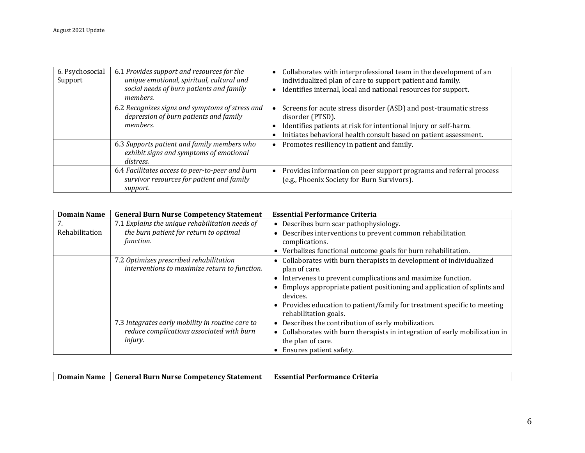| 6. Psychosocial<br>Support | 6.1 Provides support and resources for the<br>unique emotional, spiritual, cultural and<br>social needs of burn patients and family<br>members. | Collaborates with interprofessional team in the development of an<br>individualized plan of care to support patient and family.<br>Identifies internal, local and national resources for support.                             |
|----------------------------|-------------------------------------------------------------------------------------------------------------------------------------------------|-------------------------------------------------------------------------------------------------------------------------------------------------------------------------------------------------------------------------------|
|                            | 6.2 Recognizes signs and symptoms of stress and<br>depression of burn patients and family<br>members.                                           | Screens for acute stress disorder (ASD) and post-traumatic stress<br>disorder (PTSD).<br>Identifies patients at risk for intentional injury or self-harm.<br>Initiates behavioral health consult based on patient assessment. |
|                            | 6.3 Supports patient and family members who<br>exhibit signs and symptoms of emotional<br>distress.                                             | Promotes resiliency in patient and family.                                                                                                                                                                                    |
|                            | 6.4 Facilitates access to peer-to-peer and burn<br>survivor resources for patient and family<br>support.                                        | Provides information on peer support programs and referral process<br>(e.g., Phoenix Society for Burn Survivors).                                                                                                             |

| <b>Domain Name</b> | <b>General Burn Nurse Competency Statement</b>   | <b>Essential Performance Criteria</b>                                       |
|--------------------|--------------------------------------------------|-----------------------------------------------------------------------------|
| 7.                 | 7.1 Explains the unique rehabilitation needs of  | • Describes burn scar pathophysiology.                                      |
| Rehabilitation     | the burn patient for return to optimal           | Describes interventions to prevent common rehabilitation                    |
|                    | function.                                        | complications.                                                              |
|                    |                                                  | • Verbalizes functional outcome goals for burn rehabilitation.              |
|                    | 7.2 Optimizes prescribed rehabilitation          | • Collaborates with burn therapists in development of individualized        |
|                    | interventions to maximize return to function.    | plan of care.                                                               |
|                    |                                                  | • Intervenes to prevent complications and maximize function.                |
|                    |                                                  | Employs appropriate patient positioning and application of splints and      |
|                    |                                                  | devices.                                                                    |
|                    |                                                  | • Provides education to patient/family for treatment specific to meeting    |
|                    |                                                  | rehabilitation goals.                                                       |
|                    | 7.3 Integrates early mobility in routine care to | Describes the contribution of early mobilization.<br>$\bullet$              |
|                    | reduce complications associated with burn        | • Collaborates with burn therapists in integration of early mobilization in |
|                    | injury.                                          | the plan of care.                                                           |
|                    |                                                  | Ensures patient safety.                                                     |

| Domain Name   General Burn Nurse Competency Statement   Essential Performance Criteria |  |
|----------------------------------------------------------------------------------------|--|
|                                                                                        |  |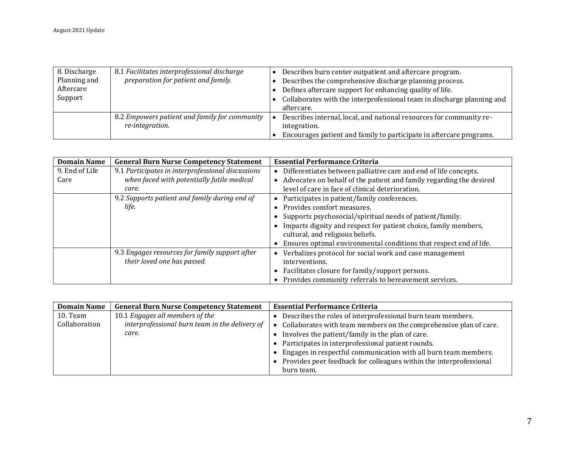| 8. Discharge | 8.1 Facilitates interprofessional discharge                      | Describes burn center outpatient and aftercare program.                              |
|--------------|------------------------------------------------------------------|--------------------------------------------------------------------------------------|
| Planning and | preparation for patient and family.                              | Describes the comprehensive discharge planning process.                              |
| Aftercare    |                                                                  | Defines aftercare support for enhancing quality of life.                             |
| Support      |                                                                  | Collaborates with the interprofessional team in discharge planning and<br>aftercare. |
|              | 8.2 Empowers patient and family for community<br>re-integration. | Describes internal, local, and national resources for community re-<br>integration.  |
|              |                                                                  | Encourages patient and family to participate in aftercare programs.                  |

| <b>Domain Name</b> | <b>General Burn Nurse Competency Statement</b>    | <b>Essential Performance Criteria</b>                               |
|--------------------|---------------------------------------------------|---------------------------------------------------------------------|
| 9. End of Life     | 9.1 Participates in interprofessional discussions | Differentiates between palliative care and end of life concepts.    |
| Care               | when faced with potentially futile medical        | Advocates on behalf of the patient and family regarding the desired |
|                    | care.                                             | level of care in face of clinical deterioration.                    |
|                    | 9.2 Supports patient and family during end of     | Participates in patient/family conferences.                         |
|                    | life.                                             | Provides comfort measures.                                          |
|                    |                                                   | Supports psychosocial/spiritual needs of patient/family.            |
|                    |                                                   | Imparts dignity and respect for patient choice, family members,     |
|                    |                                                   | cultural, and religious beliefs.                                    |
|                    |                                                   | Ensures optimal environmental conditions that respect end of life.  |
|                    | 9.3 Engages resources for family support after    | Verbalizes protocol for social work and case management             |
|                    | their loved one has passed.                       | interventions.                                                      |
|                    |                                                   | Facilitates closure for family/support persons.                     |
|                    |                                                   | Provides community referrals to bereavement services.               |

| <b>Domain Name</b> | <b>General Burn Nurse Competency Statement</b> | <b>Essential Performance Criteria</b>                                |
|--------------------|------------------------------------------------|----------------------------------------------------------------------|
| 10. Team           | 10.1 Engages all members of the                | Describes the roles of interprofessional burn team members.          |
| Collaboration      | interprofessional burn team in the delivery of | Collaborates with team members on the comprehensive plan of care.    |
|                    | care.                                          | • Involves the patient/family in the plan of care.                   |
|                    |                                                | • Participates in interprofessional patient rounds.                  |
|                    |                                                | • Engages in respectful communication with all burn team members.    |
|                    |                                                | • Provides peer feedback for colleagues within the interprofessional |
|                    |                                                | burn team.                                                           |